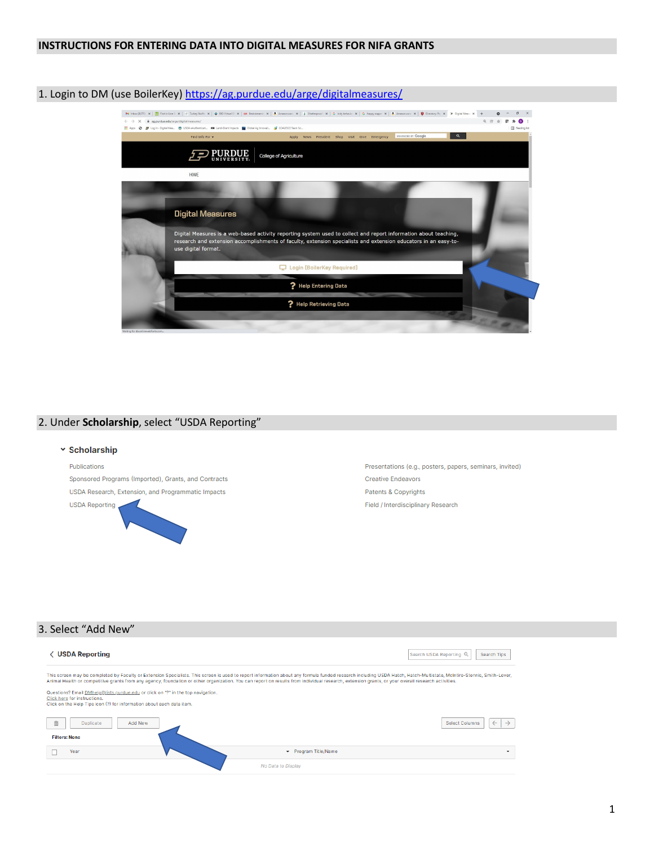# **INSTRUCTIONS FOR ENTERING DATA INTO DIGITAL MEASURES FOR NIFA GRANTS**

# 1. Login to DM (use BoilerKey)<https://ag.purdue.edu/arge/digitalmeasures/>



# 2. Under **Scholarship**, select "USDA Reporting"

# v Scholarship Publications Presentations (e.g., posters, papers, seminars, invited) Sponsored Programs (Imported), Grants, and Contracts **Creative Endeavors** USDA Research, Extension, and Programmatic Impacts Patents & Copyrights **USDA Reporting** Field / Interdisciplinary Research

# 3. Select "Add New"

| <b>√ USDA Reporting</b>                                                                                                                                                                                                                                                                                                                                                                                                                                                                                                                                                                                               |                      | Search USDA Reporting Q<br>Search Tips                 |
|-----------------------------------------------------------------------------------------------------------------------------------------------------------------------------------------------------------------------------------------------------------------------------------------------------------------------------------------------------------------------------------------------------------------------------------------------------------------------------------------------------------------------------------------------------------------------------------------------------------------------|----------------------|--------------------------------------------------------|
| This screen may be completed by Faculty or Extension Specialists. This screen is used to report information about any formula funded research including USDA Hatch, Hatch-Multistate, McIntire-Stennis, Smith-Lever,<br>Animal Health or competitive grants from any agency, foundation or other organization. You can report on results from individual research, extension grants, or your overall research activities.<br>Questions? Email DMhelp@lists.purdue.edu or click on "?" in the top navigation.<br>Click here for instructions.<br>Click on the Help Tips icon (?) for information about each data item. |                      |                                                        |
| 面<br>Duplicate<br>Add New<br><b>Filters: None</b>                                                                                                                                                                                                                                                                                                                                                                                                                                                                                                                                                                     |                      | <b>Select Columns</b><br>$\leftarrow$<br>$\rightarrow$ |
| Year                                                                                                                                                                                                                                                                                                                                                                                                                                                                                                                                                                                                                  | ▼ Program Title/Name | ۰                                                      |
|                                                                                                                                                                                                                                                                                                                                                                                                                                                                                                                                                                                                                       | No Data to Display   |                                                        |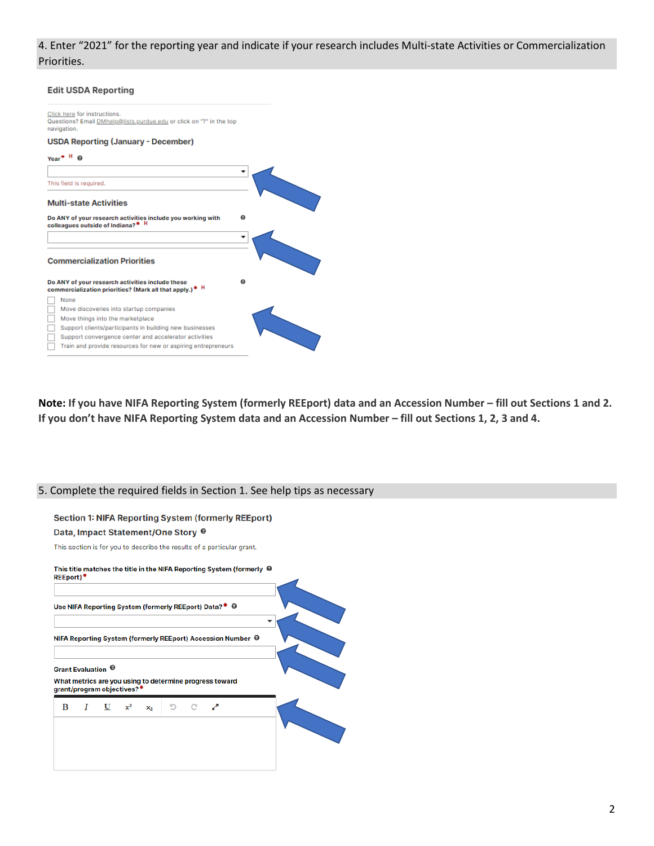# 4. Enter "2021" for the reporting year and indicate if your research includes Multi-state Activities or Commercialization Priorities.

| <b>Edit USDA Reporting</b>                                                                                              |   |
|-------------------------------------------------------------------------------------------------------------------------|---|
| Click here for instructions.<br>Questions? Email DMhelp@lists.purdue.edu or click on "?" in the top<br>navigation.      |   |
| <b>USDA Reporting (January - December)</b>                                                                              |   |
| $Year$ <sup>*</sup> $H$ $\Omega$                                                                                        |   |
|                                                                                                                         |   |
| This field is required.                                                                                                 |   |
| <b>Multi-state Activities</b>                                                                                           |   |
|                                                                                                                         |   |
| Do ANY of your research activities include you working with<br>colleagues outside of Indiana? <sup>® H</sup>            | ຨ |
|                                                                                                                         |   |
| <b>Commercialization Priorities</b>                                                                                     |   |
| Do ANY of your research activities include these<br>commercialization priorities? (Mark all that apply.) <sup>®</sup> H | ໑ |
| None                                                                                                                    |   |
| Move discoveries into startup companies                                                                                 |   |
| Move things into the marketplace                                                                                        |   |
| Support clients/participants in building new businesses                                                                 |   |
| Support convergence center and accelerator activities                                                                   |   |

**Note: If you have NIFA Reporting System (formerly REEport) data and an Accession Number – fill out Sections 1 and 2. If you don't have NIFA Reporting System data and an Accession Number – fill out Sections 1, 2, 3 and 4.**

# 5. Complete the required fields in Section 1. See help tips as necessary

# **Section 1: NIFA Reporting System (formerly REEport)**

## Data, Impact Statement/One Story <sup>@</sup>

This section is for you to describe the results of a particular grant.

| <b>REEport)*</b>              |                                                                                                   |  |  |                                                         | This title matches the title in the NIFA Reporting System (formerly $\, \Theta \,$ |  |  |
|-------------------------------|---------------------------------------------------------------------------------------------------|--|--|---------------------------------------------------------|------------------------------------------------------------------------------------|--|--|
|                               |                                                                                                   |  |  | Use NIFA Reporting System (formerly REEport) Data?* @   |                                                                                    |  |  |
|                               |                                                                                                   |  |  |                                                         | NIFA Reporting System (formerly REEport) Accession Number <sup>●</sup>             |  |  |
| Grant Evaluation <sup>®</sup> | grant/program objectives?*                                                                        |  |  | What metrics are you using to determine progress toward |                                                                                    |  |  |
|                               | $\begin{array}{ccccccccc}\nB & I & \underline{U} & x^2 & x_2 & \mathbb{D} & C & x^2\n\end{array}$ |  |  |                                                         |                                                                                    |  |  |
|                               |                                                                                                   |  |  |                                                         |                                                                                    |  |  |
|                               |                                                                                                   |  |  |                                                         |                                                                                    |  |  |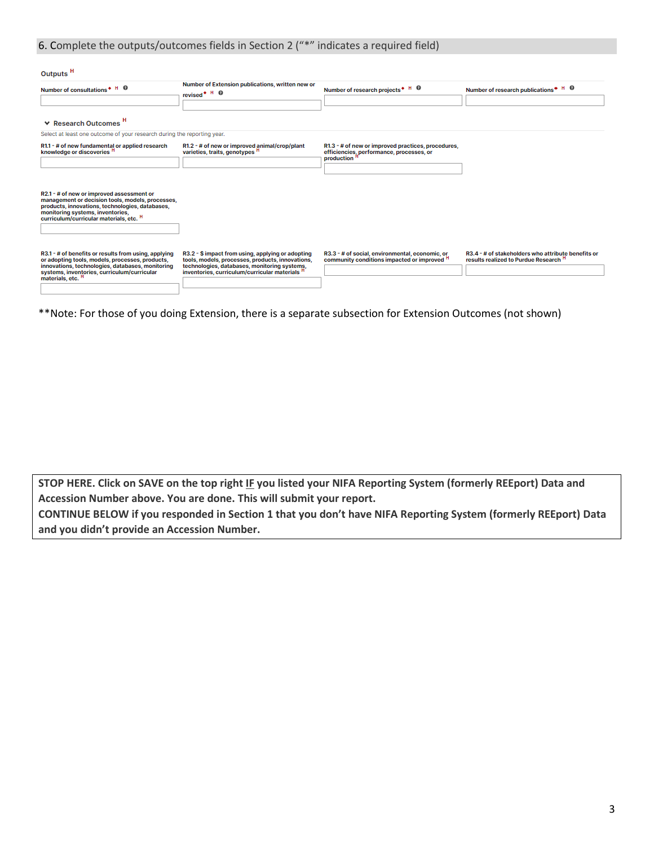# 6. Complete the outputs/outcomes fields in Section 2 ("\*" indicates a required field)

| Outputs <sup>H</sup>                                                                                                                                                                                                                       |                                                                                                                                                                                                                    |                                                                                                                           |                                                                                                        |
|--------------------------------------------------------------------------------------------------------------------------------------------------------------------------------------------------------------------------------------------|--------------------------------------------------------------------------------------------------------------------------------------------------------------------------------------------------------------------|---------------------------------------------------------------------------------------------------------------------------|--------------------------------------------------------------------------------------------------------|
| Number of consultations * H @                                                                                                                                                                                                              | Number of Extension publications, written new or<br>revised <sup>+ H</sup> <sup>O</sup>                                                                                                                            | Number of research projects * H @                                                                                         | Number of research publications <sup>*</sup> <sup>H</sup> <sup>O</sup>                                 |
| <b>▼ Research Outcomes H</b>                                                                                                                                                                                                               |                                                                                                                                                                                                                    |                                                                                                                           |                                                                                                        |
| Select at least one outcome of your research during the reporting year.                                                                                                                                                                    |                                                                                                                                                                                                                    |                                                                                                                           |                                                                                                        |
| R1.1 - # of new fundamental or applied research<br>knowledge or discoveries <sup>H</sup>                                                                                                                                                   | R1.2 - # of new or improved animal/crop/plant<br>varieties, traits, genotypes <sup>H</sup>                                                                                                                         | R1.3 - # of new or improved practices, procedures,<br>efficiencies, performance, processes, or<br>production <sup>H</sup> |                                                                                                        |
| R2.1 - # of new or improved assessment or<br>management or decision tools, models, processes,<br>products, innovations, technologies, databases,<br>monitoring systems, inventories,<br>curriculum/curricular materials, etc. <sup>H</sup> |                                                                                                                                                                                                                    |                                                                                                                           |                                                                                                        |
|                                                                                                                                                                                                                                            |                                                                                                                                                                                                                    |                                                                                                                           |                                                                                                        |
| R3.1 - # of benefits or results from using, applying<br>or adopting tools, models, processes, products,<br>innovations, technologies, databases, monitoring<br>systems, inventories, curriculum/curricular<br>materials, etc. <sup>H</sup> | R3.2 - \$ impact from using, applying or adopting<br>tools, models, processes, products, innovations,<br>technologies, databases, monitoring systems,<br>inventories, curriculum/curricular materials <sup>H</sup> | R3.3 - # of social, environmental, economic, or<br>community conditions impacted or improved <sup>H</sup>                 | R3.4 - # of stakeholders who attribute benefits or<br>results realized to Purdue Research <sup>H</sup> |
|                                                                                                                                                                                                                                            |                                                                                                                                                                                                                    |                                                                                                                           |                                                                                                        |

\*\*Note: For those of you doing Extension, there is a separate subsection for Extension Outcomes (not shown)

**STOP HERE. Click on SAVE on the top right IF you listed your NIFA Reporting System (formerly REEport) Data and Accession Number above. You are done. This will submit your report.**

**CONTINUE BELOW if you responded in Section 1 that you don't have NIFA Reporting System (formerly REEport) Data and you didn't provide an Accession Number.**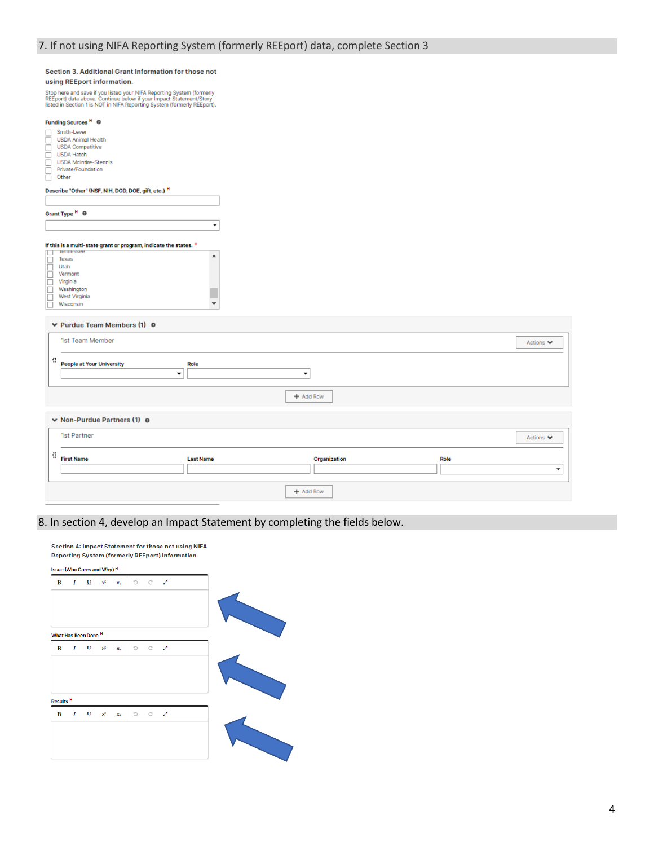$\overline{\phantom{0}}$ 

 $\blacktriangle$ 

п  $\overline{\mathbf{v}}$ 

#### Section 3. Additional Grant Information for those not using REEport information.

Stop here and save if you listed your NIFA Reporting System (formerly<br>REEport) data above. Continue below if your Impact Statement/Story<br>listed in Section 1 is NOT in NIFA Reporting System (formerly REEport).

# Funding Sources<sup>H</sup> <sup>0</sup> **Funding sources**<br>
Similar Lever<br>
SDA Animal Health<br>
SDA Hatch<br>
USDA Hatch<br>
USDA Molnitre-Stenn<br>
Private/Foundation<br>
Other

- 
- 
- USDA Hatch<br>USDA Hatch<br>USDA McIntire-Stennis
- 

#### Describe "Other" (NSF, NIH, DOD, DOE, gift, etc.) H

| Grant Type <sup>H</sup> <sup>O</sup> |  |  |
|--------------------------------------|--|--|
|                                      |  |  |
|                                      |  |  |

# If this is a multi-state grant or program, indicate the states.  $H$

|  | Texas         |
|--|---------------|
|  | Utah          |
|  | Vermont       |
|  | Virginia      |
|  | Washington    |
|  | West Virginia |
|  | Wisconsin     |
|  |               |

#### ▼ Purdue Team Members (1) ●

| 1st Team Member                                                                                       |                  |              | Actions $\blacktriangledown$     |
|-------------------------------------------------------------------------------------------------------|------------------|--------------|----------------------------------|
| ÷<br><b>People at Your University</b><br>$\overline{\phantom{a}}$                                     | Role<br>۰        |              |                                  |
|                                                                                                       |                  | + Add Row    |                                  |
| $\vee$ Non-Purdue Partners (1) $\odot$                                                                |                  |              |                                  |
| 1st Partner                                                                                           |                  |              | Actions $\blacktriangledown$     |
| $\begin{array}{ccc} \begin{array}{c} \text{d} & \text{d} \end{array} & \text{First Name} \end{array}$ | <b>Last Name</b> | Organization | Role<br>$\overline{\phantom{a}}$ |
|                                                                                                       |                  | + Add Row    |                                  |

# 8. In section 4, develop an Impact Statement by completing the fields below.

| в                         | $\boldsymbol{I}$ | $\mathbf{U}$            | $x^2$ | $\mathbf{x}_k$ |   | 5 <sub>2</sub> |  |  |  |
|---------------------------|------------------|-------------------------|-------|----------------|---|----------------|--|--|--|
|                           |                  | What Has Been Done H    |       |                |   |                |  |  |  |
| В                         | Ι                | U                       | $x^2$ | $\mathbf{x}_2$ | Ð | - c → 2        |  |  |  |
|                           |                  |                         |       |                |   |                |  |  |  |
| Results <sup>H</sup><br>В |                  | $\overline{\mathbf{U}}$ | $x^2$ |                |   | 5 <sub>2</sub> |  |  |  |
|                           | Ι                |                         |       | $\mathbf{x}_k$ |   |                |  |  |  |

Section 4: Impact Statement for those not using NIFA